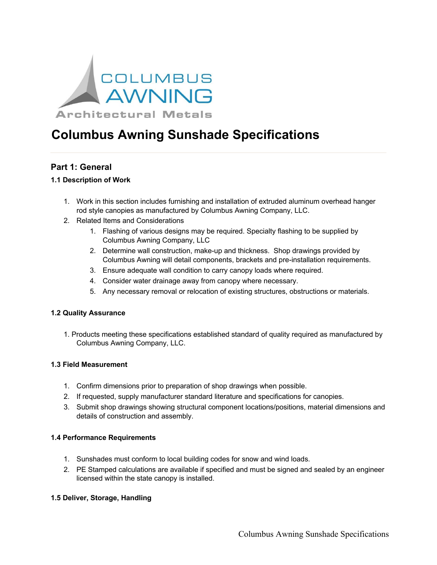

# **Columbus Awning Sunshade Specifications**

# **Part 1: General**

# **1.1 Description of Work**

- 1. Work in this section includes furnishing and installation of extruded aluminum overhead hanger rod style canopies as manufactured by Columbus Awning Company, LLC.
- 2. Related Items and Considerations
	- 1. Flashing of various designs may be required. Specialty flashing to be supplied by Columbus Awning Company, LLC
	- 2. Determine wall construction, make-up and thickness. Shop drawings provided by Columbus Awning will detail components, brackets and pre-installation requirements.
	- 3. Ensure adequate wall condition to carry canopy loads where required.
	- 4. Consider water drainage away from canopy where necessary.
	- 5. Any necessary removal or relocation of existing structures, obstructions or materials.

# **1.2 Quality Assurance**

1. Products meeting these specifications established standard of quality required as manufactured by Columbus Awning Company, LLC.

# **1.3 Field Measurement**

- 1. Confirm dimensions prior to preparation of shop drawings when possible.
- 2. If requested, supply manufacturer standard literature and specifications for canopies.
- 3. Submit shop drawings showing structural component locations/positions, material dimensions and details of construction and assembly.

# **1.4 Performance Requirements**

- 1. Sunshades must conform to local building codes for snow and wind loads.
- 2. PE Stamped calculations are available if specified and must be signed and sealed by an engineer licensed within the state canopy is installed.

# **1.5 Deliver, Storage, Handling**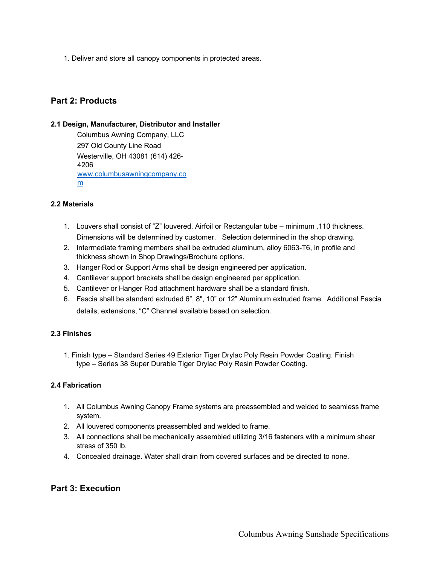1. Deliver and store all canopy components in protected areas.

# **Part 2: Products**

#### **2.1 Design, Manufacturer, Distributor and Installer**

Columbus Awning Company, LLC 297 Old County Line Road Westerville, OH 43081 (614) 426- 4206 www.columbusawningcompany.co m

# **2.2 Materials**

- 1. Louvers shall consist of "Z" louvered, Airfoil or Rectangular tube minimum .110 thickness. Dimensions will be determined by customer. Selection determined in the shop drawing.
- 2. Intermediate framing members shall be extruded aluminum, alloy 6063-T6, in profile and thickness shown in Shop Drawings/Brochure options.
- 3. Hanger Rod or Support Arms shall be design engineered per application.
- 4. Cantilever support brackets shall be design engineered per application.
- 5. Cantilever or Hanger Rod attachment hardware shall be a standard finish.
- 6. Fascia shall be standard extruded 6", 8", 10" or 12" Aluminum extruded frame. Additional Fascia details, extensions, "C" Channel available based on selection.

# **2.3 Finishes**

1. Finish type – Standard Series 49 Exterior Tiger Drylac Poly Resin Powder Coating. Finish type – Series 38 Super Durable Tiger Drylac Poly Resin Powder Coating.

#### **2.4 Fabrication**

- 1. All Columbus Awning Canopy Frame systems are preassembled and welded to seamless frame system.
- 2. All louvered components preassembled and welded to frame.
- 3. All connections shall be mechanically assembled utilizing 3/16 fasteners with a minimum shear stress of 350 lb.
- 4. Concealed drainage. Water shall drain from covered surfaces and be directed to none.

# **Part 3: Execution**